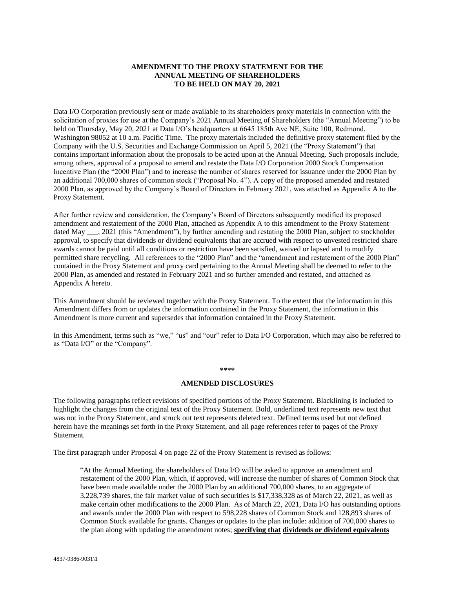#### **AMENDMENT TO THE PROXY STATEMENT FOR THE ANNUAL MEETING OF SHAREHOLDERS TO BE HELD ON MAY 20, 2021**

Data I/O Corporation previously sent or made available to its shareholders proxy materials in connection with the solicitation of proxies for use at the Company's 2021 Annual Meeting of Shareholders (the "Annual Meeting") to be held on Thursday, May 20, 2021 at Data I/O's headquarters at 6645 185th Ave NE, Suite 100, Redmond, Washington 98052 at 10 a.m. Pacific Time. The proxy materials included the definitive proxy statement filed by the Company with the U.S. Securities and Exchange Commission on April 5, 2021 (the "Proxy Statement") that contains important information about the proposals to be acted upon at the Annual Meeting. Such proposals include, among others, approval of a proposal to amend and restate the Data I/O Corporation 2000 Stock Compensation Incentive Plan (the "2000 Plan") and to increase the number of shares reserved for issuance under the 2000 Plan by an additional 700,000 shares of common stock ("Proposal No. 4"). A copy of the proposed amended and restated 2000 Plan, as approved by the Company's Board of Directors in February 2021, was attached as Appendix A to the Proxy Statement.

After further review and consideration, the Company's Board of Directors subsequently modified its proposed amendment and restatement of the 2000 Plan, attached as Appendix A to this amendment to the Proxy Statement dated May <sub>\_\_\_</sub>, 2021 (this "Amendment"), by further amending and restating the 2000 Plan, subject to stockholder approval, to specify that dividends or dividend equivalents that are accrued with respect to unvested restricted share awards cannot be paid until all conditions or restriction have been satisfied, waived or lapsed and to modify permitted share recycling. All references to the "2000 Plan" and the "amendment and restatement of the 2000 Plan" contained in the Proxy Statement and proxy card pertaining to the Annual Meeting shall be deemed to refer to the 2000 Plan, as amended and restated in February 2021 and so further amended and restated, and attached as Appendix A hereto.

This Amendment should be reviewed together with the Proxy Statement. To the extent that the information in this Amendment differs from or updates the information contained in the Proxy Statement, the information in this Amendment is more current and supersedes that information contained in the Proxy Statement.

In this Amendment, terms such as "we," "us" and "our" refer to Data I/O Corporation, which may also be referred to as "Data I/O" or the "Company".

**\*\*\*\***

#### **AMENDED DISCLOSURES**

The following paragraphs reflect revisions of specified portions of the Proxy Statement. Blacklining is included to highlight the changes from the original text of the Proxy Statement. Bold, underlined text represents new text that was not in the Proxy Statement, and struck out text represents deleted text. Defined terms used but not defined herein have the meanings set forth in the Proxy Statement, and all page references refer to pages of the Proxy Statement*.*

The first paragraph under Proposal 4 on page 22 of the Proxy Statement is revised as follows:

"At the Annual Meeting, the shareholders of Data I/O will be asked to approve an amendment and restatement of the 2000 Plan, which, if approved, will increase the number of shares of Common Stock that have been made available under the 2000 Plan by an additional 700,000 shares, to an aggregate of 3,228,739 shares, the fair market value of such securities is \$17,338,328 as of March 22, 2021, as well as make certain other modifications to the 2000 Plan. As of March 22, 2021, Data I/O has outstanding options and awards under the 2000 Plan with respect to 598,228 shares of Common Stock and 128,893 shares of Common Stock available for grants. Changes or updates to the plan include: addition of 700,000 shares to the plan along with updating the amendment notes; **specifying that dividends or dividend equivalents**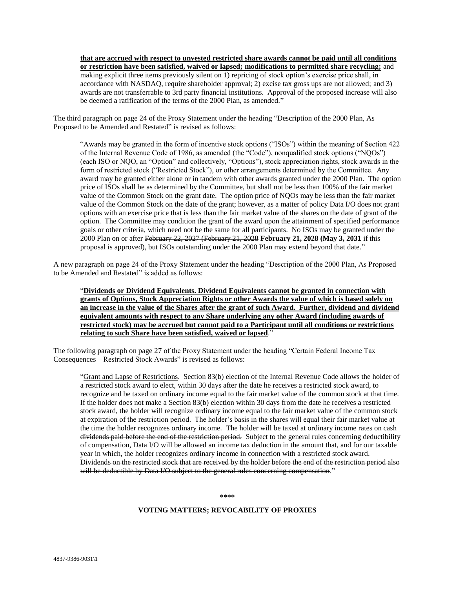**that are accrued with respect to unvested restricted share awards cannot be paid until all conditions or restriction have been satisfied, waived or lapsed; modifications to permitted share recycling;** and making explicit three items previously silent on 1) repricing of stock option's exercise price shall, in accordance with NASDAQ, require shareholder approval; 2) excise tax gross ups are not allowed; and 3) awards are not transferrable to 3rd party financial institutions. Approval of the proposed increase will also be deemed a ratification of the terms of the 2000 Plan, as amended."

The third paragraph on page 24 of the Proxy Statement under the heading "Description of the 2000 Plan, As Proposed to be Amended and Restated" is revised as follows:

"Awards may be granted in the form of incentive stock options ("ISOs") within the meaning of Section 422 of the Internal Revenue Code of 1986, as amended (the "Code"), nonqualified stock options ("NQOs") (each ISO or NQO, an "Option" and collectively, "Options"), stock appreciation rights, stock awards in the form of restricted stock ("Restricted Stock"), or other arrangements determined by the Committee. Any award may be granted either alone or in tandem with other awards granted under the 2000 Plan. The option price of ISOs shall be as determined by the Committee, but shall not be less than 100% of the fair market value of the Common Stock on the grant date. The option price of NQOs may be less than the fair market value of the Common Stock on the date of the grant; however, as a matter of policy Data I/O does not grant options with an exercise price that is less than the fair market value of the shares on the date of grant of the option. The Committee may condition the grant of the award upon the attainment of specified performance goals or other criteria, which need not be the same for all participants. No ISOs may be granted under the 2000 Plan on or after February 22, 2027 (February 21, 2028 **February 21, 2028 (May 3, 2031** if this proposal is approved), but ISOs outstanding under the 2000 Plan may extend beyond that date."

A new paragraph on page 24 of the Proxy Statement under the heading "Description of the 2000 Plan, As Proposed to be Amended and Restated" is added as follows:

"**Dividends or Dividend Equivalents. Dividend Equivalents cannot be granted in connection with grants of Options, Stock Appreciation Rights or other Awards the value of which is based solely on an increase in the value of the Shares after the grant of such Award. Further, dividend and dividend equivalent amounts with respect to any Share underlying any other Award (including awards of restricted stock) may be accrued but cannot paid to a Participant until all conditions or restrictions relating to such Share have been satisfied, waived or lapsed**."

The following paragraph on page 27 of the Proxy Statement under the heading "Certain Federal Income Tax Consequences – Restricted Stock Awards" is revised as follows:

"Grant and Lapse of Restrictions. Section 83(b) election of the Internal Revenue Code allows the holder of a restricted stock award to elect, within 30 days after the date he receives a restricted stock award, to recognize and be taxed on ordinary income equal to the fair market value of the common stock at that time. If the holder does not make a Section 83(b) election within 30 days from the date he receives a restricted stock award, the holder will recognize ordinary income equal to the fair market value of the common stock at expiration of the restriction period. The holder's basis in the shares will equal their fair market value at the time the holder recognizes ordinary income. The holder will be taxed at ordinary income rates on cash dividends paid before the end of the restriction period. Subject to the general rules concerning deductibility of compensation, Data I/O will be allowed an income tax deduction in the amount that, and for our taxable year in which, the holder recognizes ordinary income in connection with a restricted stock award. Dividends on the restricted stock that are received by the holder before the end of the restriction period also will be deductible by Data I/O subject to the general rules concerning compensation."

**\*\*\*\***

#### **VOTING MATTERS; REVOCABILITY OF PROXIES**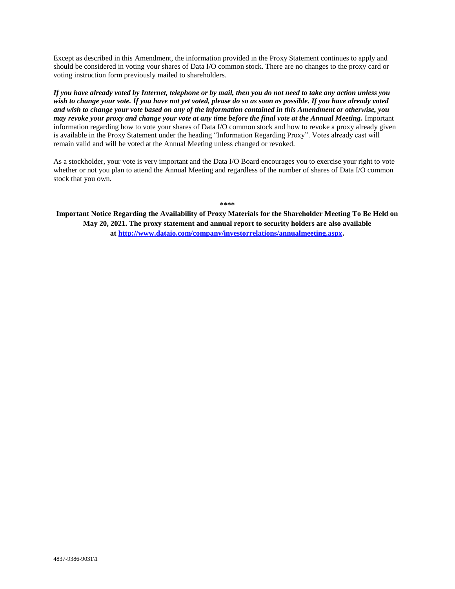Except as described in this Amendment, the information provided in the Proxy Statement continues to apply and should be considered in voting your shares of Data I/O common stock. There are no changes to the proxy card or voting instruction form previously mailed to shareholders.

*If you have already voted by Internet, telephone or by mail, then you do not need to take any action unless you wish to change your vote. If you have not yet voted, please do so as soon as possible. If you have already voted and wish to change your vote based on any of the information contained in this Amendment or otherwise, you may revoke your proxy and change your vote at any time before the final vote at the Annual Meeting.* Important information regarding how to vote your shares of Data I/O common stock and how to revoke a proxy already given is available in the Proxy Statement under the heading "Information Regarding Proxy". Votes already cast will remain valid and will be voted at the Annual Meeting unless changed or revoked.

As a stockholder, your vote is very important and the Data I/O Board encourages you to exercise your right to vote whether or not you plan to attend the Annual Meeting and regardless of the number of shares of Data I/O common stock that you own.

**\*\*\*\***

**Important Notice Regarding the Availability of Proxy Materials for the Shareholder Meeting To Be Held on May 20, 2021. The proxy statement and annual report to security holders are also available at [http://www.dataio.com/company/investorrelations/annualmeeting.aspx.](http://www.dataio.com/company/investorrelations/annualmeeting.aspx)**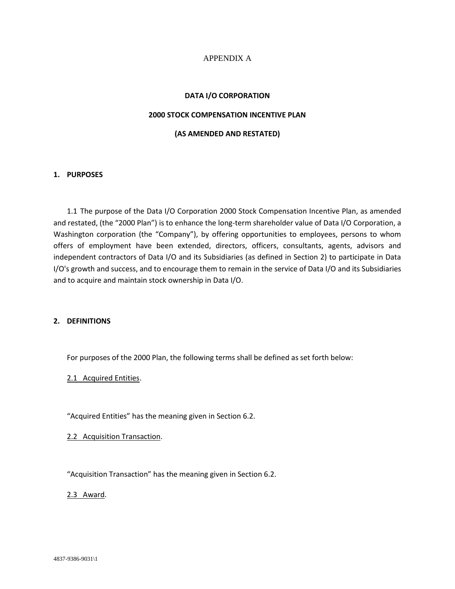## APPENDIX A

#### **DATA I/O CORPORATION**

### **2000 STOCK COMPENSATION INCENTIVE PLAN**

#### **(AS AMENDED AND RESTATED)**

#### **1. PURPOSES**

1.1 The purpose of the Data I/O Corporation 2000 Stock Compensation Incentive Plan, as amended and restated, (the "2000 Plan") is to enhance the long-term shareholder value of Data I/O Corporation, a Washington corporation (the "Company"), by offering opportunities to employees, persons to whom offers of employment have been extended, directors, officers, consultants, agents, advisors and independent contractors of Data I/O and its Subsidiaries (as defined in Section 2) to participate in Data I/O's growth and success, and to encourage them to remain in the service of Data I/O and its Subsidiaries and to acquire and maintain stock ownership in Data I/O.

#### **2. DEFINITIONS**

For purposes of the 2000 Plan, the following terms shall be defined as set forth below:

2.1 Acquired Entities.

"Acquired Entities" has the meaning given in Section 6.2.

2.2 Acquisition Transaction.

"Acquisition Transaction" has the meaning given in Section 6.2.

2.3 Award.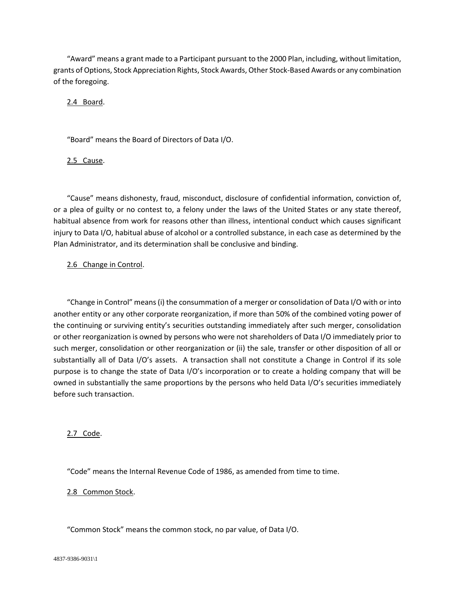"Award" means a grant made to a Participant pursuant to the 2000 Plan, including, without limitation, grants of Options, Stock Appreciation Rights, Stock Awards, Other Stock-Based Awards or any combination of the foregoing.

2.4 Board.

"Board" means the Board of Directors of Data I/O.

2.5 Cause.

"Cause" means dishonesty, fraud, misconduct, disclosure of confidential information, conviction of, or a plea of guilty or no contest to, a felony under the laws of the United States or any state thereof, habitual absence from work for reasons other than illness, intentional conduct which causes significant injury to Data I/O, habitual abuse of alcohol or a controlled substance, in each case as determined by the Plan Administrator, and its determination shall be conclusive and binding.

## 2.6 Change in Control.

"Change in Control" means (i) the consummation of a merger or consolidation of Data I/O with or into another entity or any other corporate reorganization, if more than 50% of the combined voting power of the continuing or surviving entity's securities outstanding immediately after such merger, consolidation or other reorganization is owned by persons who were not shareholders of Data I/O immediately prior to such merger, consolidation or other reorganization or (ii) the sale, transfer or other disposition of all or substantially all of Data I/O's assets. A transaction shall not constitute a Change in Control if its sole purpose is to change the state of Data I/O's incorporation or to create a holding company that will be owned in substantially the same proportions by the persons who held Data I/O's securities immediately before such transaction.

## 2.7 Code.

"Code" means the Internal Revenue Code of 1986, as amended from time to time.

## 2.8 Common Stock.

"Common Stock" means the common stock, no par value, of Data I/O.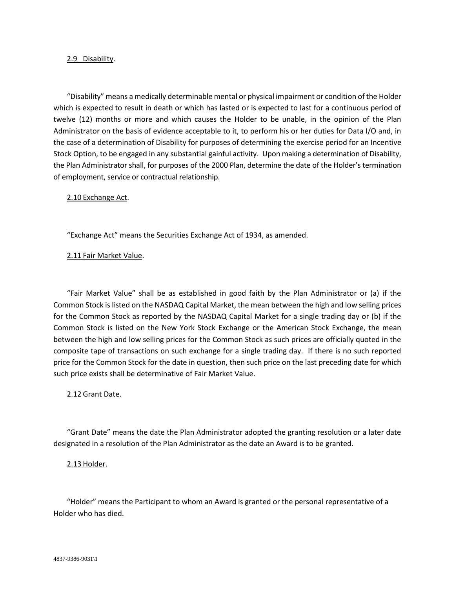#### 2.9 Disability.

"Disability" means a medically determinable mental or physical impairment or condition of the Holder which is expected to result in death or which has lasted or is expected to last for a continuous period of twelve (12) months or more and which causes the Holder to be unable, in the opinion of the Plan Administrator on the basis of evidence acceptable to it, to perform his or her duties for Data I/O and, in the case of a determination of Disability for purposes of determining the exercise period for an Incentive Stock Option, to be engaged in any substantial gainful activity. Upon making a determination of Disability, the Plan Administrator shall, for purposes of the 2000 Plan, determine the date of the Holder's termination of employment, service or contractual relationship.

#### 2.10 Exchange Act.

"Exchange Act" means the Securities Exchange Act of 1934, as amended.

#### 2.11 Fair Market Value.

"Fair Market Value" shall be as established in good faith by the Plan Administrator or (a) if the Common Stock is listed on the NASDAQ Capital Market, the mean between the high and low selling prices for the Common Stock as reported by the NASDAQ Capital Market for a single trading day or (b) if the Common Stock is listed on the New York Stock Exchange or the American Stock Exchange, the mean between the high and low selling prices for the Common Stock as such prices are officially quoted in the composite tape of transactions on such exchange for a single trading day. If there is no such reported price for the Common Stock for the date in question, then such price on the last preceding date for which such price exists shall be determinative of Fair Market Value.

#### 2.12 Grant Date.

"Grant Date" means the date the Plan Administrator adopted the granting resolution or a later date designated in a resolution of the Plan Administrator as the date an Award is to be granted.

#### 2.13 Holder.

"Holder" means the Participant to whom an Award is granted or the personal representative of a Holder who has died.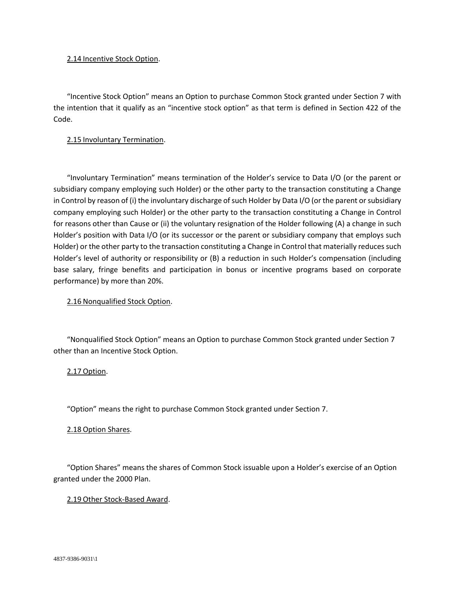### 2.14 Incentive Stock Option.

"Incentive Stock Option" means an Option to purchase Common Stock granted under Section 7 with the intention that it qualify as an "incentive stock option" as that term is defined in Section 422 of the Code.

## 2.15 Involuntary Termination.

"Involuntary Termination" means termination of the Holder's service to Data I/O (or the parent or subsidiary company employing such Holder) or the other party to the transaction constituting a Change in Control by reason of (i) the involuntary discharge of such Holder by Data I/O (or the parent or subsidiary company employing such Holder) or the other party to the transaction constituting a Change in Control for reasons other than Cause or (ii) the voluntary resignation of the Holder following (A) a change in such Holder's position with Data I/O (or its successor or the parent or subsidiary company that employs such Holder) or the other party to the transaction constituting a Change in Control that materially reduces such Holder's level of authority or responsibility or (B) a reduction in such Holder's compensation (including base salary, fringe benefits and participation in bonus or incentive programs based on corporate performance) by more than 20%.

## 2.16 Nonqualified Stock Option.

"Nonqualified Stock Option" means an Option to purchase Common Stock granted under Section 7 other than an Incentive Stock Option.

2.17 Option.

"Option" means the right to purchase Common Stock granted under Section 7.

## 2.18 Option Shares.

"Option Shares" means the shares of Common Stock issuable upon a Holder's exercise of an Option granted under the 2000 Plan.

## 2.19 Other Stock-Based Award.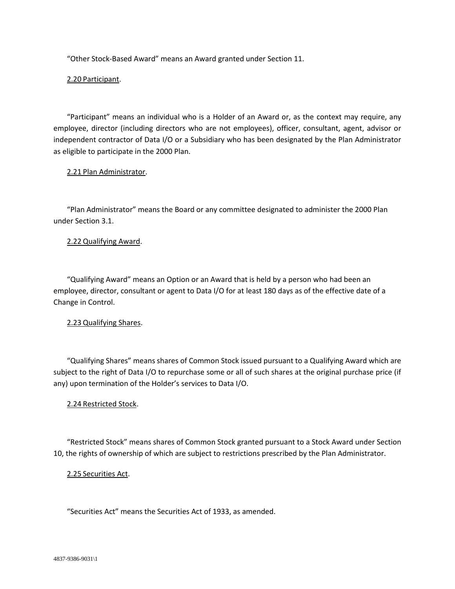"Other Stock-Based Award" means an Award granted under Section 11.

2.20 Participant.

"Participant" means an individual who is a Holder of an Award or, as the context may require, any employee, director (including directors who are not employees), officer, consultant, agent, advisor or independent contractor of Data I/O or a Subsidiary who has been designated by the Plan Administrator as eligible to participate in the 2000 Plan.

### 2.21 Plan Administrator.

"Plan Administrator" means the Board or any committee designated to administer the 2000 Plan under Section 3.1.

### 2.22 Qualifying Award.

"Qualifying Award" means an Option or an Award that is held by a person who had been an employee, director, consultant or agent to Data I/O for at least 180 days as of the effective date of a Change in Control.

## 2.23 Qualifying Shares.

"Qualifying Shares" means shares of Common Stock issued pursuant to a Qualifying Award which are subject to the right of Data I/O to repurchase some or all of such shares at the original purchase price (if any) upon termination of the Holder's services to Data I/O.

## 2.24 Restricted Stock.

"Restricted Stock" means shares of Common Stock granted pursuant to a Stock Award under Section 10, the rights of ownership of which are subject to restrictions prescribed by the Plan Administrator.

## 2.25 Securities Act.

"Securities Act" means the Securities Act of 1933, as amended.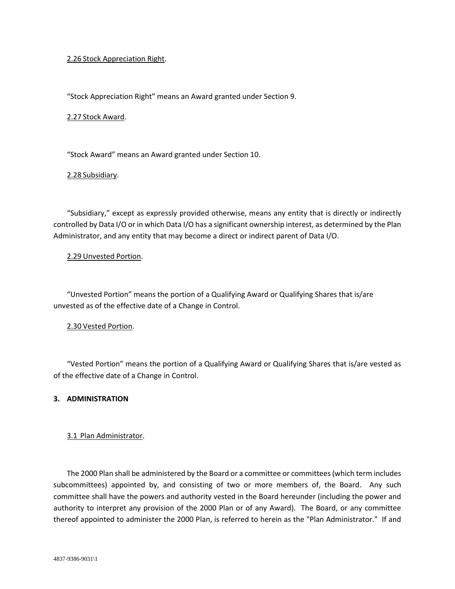### 2.26 Stock Appreciation Right.

"Stock Appreciation Right" means an Award granted under Section 9.

#### 2.27 Stock Award.

"Stock Award" means an Award granted under Section 10.

#### 2.28 Subsidiary.

"Subsidiary," except as expressly provided otherwise, means any entity that is directly or indirectly controlled by Data I/O or in which Data I/O has a significant ownership interest, as determined by the Plan Administrator, and any entity that may become a direct or indirect parent of Data I/O.

### 2.29 Unvested Portion.

"Unvested Portion" means the portion of a Qualifying Award or Qualifying Shares that is/are unvested as of the effective date of a Change in Control.

#### 2.30 Vested Portion.

"Vested Portion" means the portion of a Qualifying Award or Qualifying Shares that is/are vested as of the effective date of a Change in Control.

#### **3. ADMINISTRATION**

#### 3.1 Plan Administrator.

The 2000 Plan shall be administered by the Board or a committee or committees (which term includes subcommittees) appointed by, and consisting of two or more members of, the Board. Any such committee shall have the powers and authority vested in the Board hereunder (including the power and authority to interpret any provision of the 2000 Plan or of any Award). The Board, or any committee thereof appointed to administer the 2000 Plan, is referred to herein as the "Plan Administrator." If and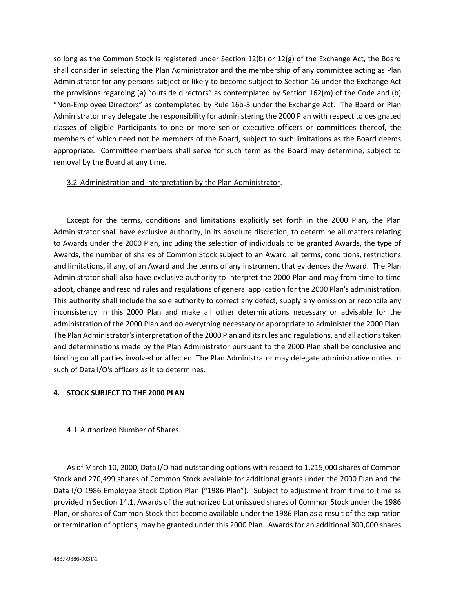so long as the Common Stock is registered under Section 12(b) or 12(g) of the Exchange Act, the Board shall consider in selecting the Plan Administrator and the membership of any committee acting as Plan Administrator for any persons subject or likely to become subject to Section 16 under the Exchange Act the provisions regarding (a) "outside directors" as contemplated by Section 162(m) of the Code and (b) "Non-Employee Directors" as contemplated by Rule 16b-3 under the Exchange Act. The Board or Plan Administrator may delegate the responsibility for administering the 2000 Plan with respect to designated classes of eligible Participants to one or more senior executive officers or committees thereof, the members of which need not be members of the Board, subject to such limitations as the Board deems appropriate. Committee members shall serve for such term as the Board may determine, subject to removal by the Board at any time.

### 3.2 Administration and Interpretation by the Plan Administrator.

Except for the terms, conditions and limitations explicitly set forth in the 2000 Plan, the Plan Administrator shall have exclusive authority, in its absolute discretion, to determine all matters relating to Awards under the 2000 Plan, including the selection of individuals to be granted Awards, the type of Awards, the number of shares of Common Stock subject to an Award, all terms, conditions, restrictions and limitations, if any, of an Award and the terms of any instrument that evidences the Award. The Plan Administrator shall also have exclusive authority to interpret the 2000 Plan and may from time to time adopt, change and rescind rules and regulations of general application for the 2000 Plan's administration. This authority shall include the sole authority to correct any defect, supply any omission or reconcile any inconsistency in this 2000 Plan and make all other determinations necessary or advisable for the administration of the 2000 Plan and do everything necessary or appropriate to administer the 2000 Plan. The Plan Administrator's interpretation of the 2000 Plan and its rules and regulations, and all actions taken and determinations made by the Plan Administrator pursuant to the 2000 Plan shall be conclusive and binding on all parties involved or affected. The Plan Administrator may delegate administrative duties to such of Data I/O's officers as it so determines.

## **4. STOCK SUBJECT TO THE 2000 PLAN**

## 4.1 Authorized Number of Shares.

As of March 10, 2000, Data I/O had outstanding options with respect to 1,215,000 shares of Common Stock and 270,499 shares of Common Stock available for additional grants under the 2000 Plan and the Data I/O 1986 Employee Stock Option Plan ("1986 Plan"). Subject to adjustment from time to time as provided in Section 14.1, Awards of the authorized but unissued shares of Common Stock under the 1986 Plan, or shares of Common Stock that become available under the 1986 Plan as a result of the expiration or termination of options, may be granted under this 2000 Plan. Awards for an additional 300,000 shares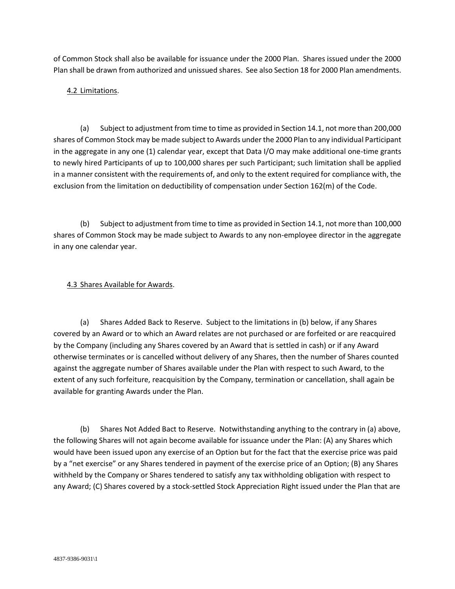of Common Stock shall also be available for issuance under the 2000 Plan. Shares issued under the 2000 Plan shall be drawn from authorized and unissued shares. See also Section 18 for 2000 Plan amendments.

# 4.2 Limitations.

(a) Subject to adjustment from time to time as provided in Section 14.1, not more than 200,000 shares of Common Stock may be made subject to Awards under the 2000 Plan to any individual Participant in the aggregate in any one (1) calendar year, except that Data I/O may make additional one-time grants to newly hired Participants of up to 100,000 shares per such Participant; such limitation shall be applied in a manner consistent with the requirements of, and only to the extent required for compliance with, the exclusion from the limitation on deductibility of compensation under Section 162(m) of the Code.

(b) Subject to adjustment from time to time as provided in Section 14.1, not more than 100,000 shares of Common Stock may be made subject to Awards to any non-employee director in the aggregate in any one calendar year.

## 4.3 Shares Available for Awards.

(a) Shares Added Back to Reserve. Subject to the limitations in (b) below, if any Shares covered by an Award or to which an Award relates are not purchased or are forfeited or are reacquired by the Company (including any Shares covered by an Award that is settled in cash) or if any Award otherwise terminates or is cancelled without delivery of any Shares, then the number of Shares counted against the aggregate number of Shares available under the Plan with respect to such Award, to the extent of any such forfeiture, reacquisition by the Company, termination or cancellation, shall again be available for granting Awards under the Plan.

(b) Shares Not Added Bact to Reserve. Notwithstanding anything to the contrary in (a) above, the following Shares will not again become available for issuance under the Plan: (A) any Shares which would have been issued upon any exercise of an Option but for the fact that the exercise price was paid by a "net exercise" or any Shares tendered in payment of the exercise price of an Option; (B) any Shares withheld by the Company or Shares tendered to satisfy any tax withholding obligation with respect to any Award; (C) Shares covered by a stock-settled Stock Appreciation Right issued under the Plan that are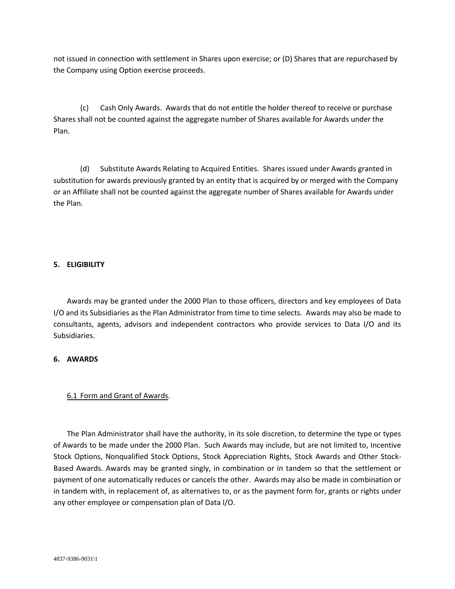not issued in connection with settlement in Shares upon exercise; or (D) Shares that are repurchased by the Company using Option exercise proceeds.

(c) Cash Only Awards. Awards that do not entitle the holder thereof to receive or purchase Shares shall not be counted against the aggregate number of Shares available for Awards under the Plan.

(d) Substitute Awards Relating to Acquired Entities. Shares issued under Awards granted in substitution for awards previously granted by an entity that is acquired by or merged with the Company or an Affiliate shall not be counted against the aggregate number of Shares available for Awards under the Plan.

### **5. ELIGIBILITY**

Awards may be granted under the 2000 Plan to those officers, directors and key employees of Data I/O and its Subsidiaries as the Plan Administrator from time to time selects. Awards may also be made to consultants, agents, advisors and independent contractors who provide services to Data I/O and its Subsidiaries.

#### **6. AWARDS**

## 6.1 Form and Grant of Awards.

The Plan Administrator shall have the authority, in its sole discretion, to determine the type or types of Awards to be made under the 2000 Plan. Such Awards may include, but are not limited to, Incentive Stock Options, Nonqualified Stock Options, Stock Appreciation Rights, Stock Awards and Other Stock-Based Awards. Awards may be granted singly, in combination or in tandem so that the settlement or payment of one automatically reduces or cancels the other. Awards may also be made in combination or in tandem with, in replacement of, as alternatives to, or as the payment form for, grants or rights under any other employee or compensation plan of Data I/O.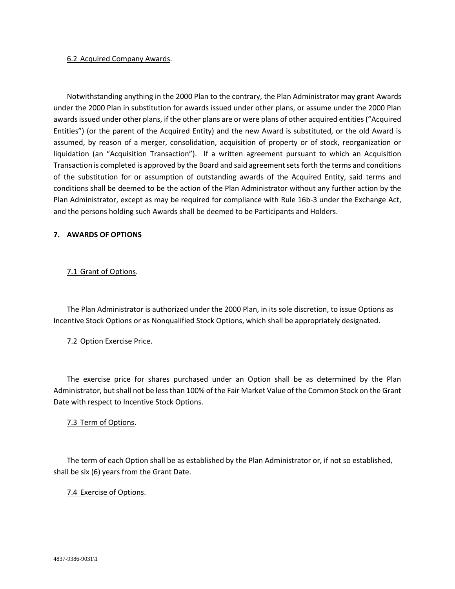#### 6.2 Acquired Company Awards.

Notwithstanding anything in the 2000 Plan to the contrary, the Plan Administrator may grant Awards under the 2000 Plan in substitution for awards issued under other plans, or assume under the 2000 Plan awards issued under other plans, if the other plans are or were plans of other acquired entities ("Acquired Entities") (or the parent of the Acquired Entity) and the new Award is substituted, or the old Award is assumed, by reason of a merger, consolidation, acquisition of property or of stock, reorganization or liquidation (an "Acquisition Transaction"). If a written agreement pursuant to which an Acquisition Transaction is completed is approved by the Board and said agreement sets forth the terms and conditions of the substitution for or assumption of outstanding awards of the Acquired Entity, said terms and conditions shall be deemed to be the action of the Plan Administrator without any further action by the Plan Administrator, except as may be required for compliance with Rule 16b-3 under the Exchange Act, and the persons holding such Awards shall be deemed to be Participants and Holders.

## **7. AWARDS OF OPTIONS**

## 7.1 Grant of Options.

The Plan Administrator is authorized under the 2000 Plan, in its sole discretion, to issue Options as Incentive Stock Options or as Nonqualified Stock Options, which shall be appropriately designated.

## 7.2 Option Exercise Price.

The exercise price for shares purchased under an Option shall be as determined by the Plan Administrator, but shall not be less than 100% of the Fair Market Value of the Common Stock on the Grant Date with respect to Incentive Stock Options.

## 7.3 Term of Options.

The term of each Option shall be as established by the Plan Administrator or, if not so established, shall be six (6) years from the Grant Date.

#### 7.4 Exercise of Options.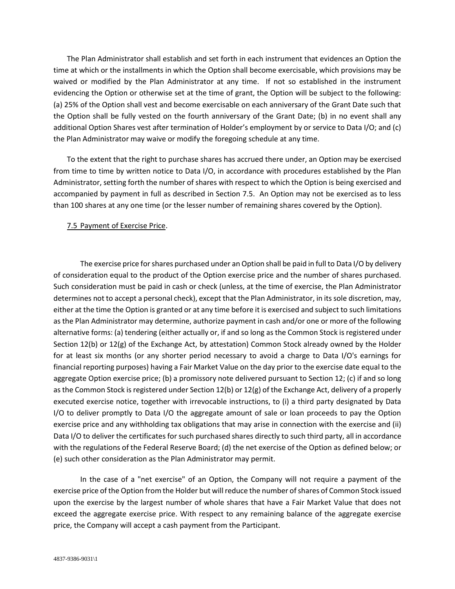The Plan Administrator shall establish and set forth in each instrument that evidences an Option the time at which or the installments in which the Option shall become exercisable, which provisions may be waived or modified by the Plan Administrator at any time. If not so established in the instrument evidencing the Option or otherwise set at the time of grant, the Option will be subject to the following: (a) 25% of the Option shall vest and become exercisable on each anniversary of the Grant Date such that the Option shall be fully vested on the fourth anniversary of the Grant Date; (b) in no event shall any additional Option Shares vest after termination of Holder's employment by or service to Data I/O; and (c) the Plan Administrator may waive or modify the foregoing schedule at any time.

To the extent that the right to purchase shares has accrued there under, an Option may be exercised from time to time by written notice to Data I/O, in accordance with procedures established by the Plan Administrator, setting forth the number of shares with respect to which the Option is being exercised and accompanied by payment in full as described in Section 7.5. An Option may not be exercised as to less than 100 shares at any one time (or the lesser number of remaining shares covered by the Option).

### 7.5 Payment of Exercise Price.

The exercise price for shares purchased under an Option shall be paid in full to Data I/O by delivery of consideration equal to the product of the Option exercise price and the number of shares purchased. Such consideration must be paid in cash or check (unless, at the time of exercise, the Plan Administrator determines not to accept a personal check), except that the Plan Administrator, in its sole discretion, may, either at the time the Option is granted or at any time before it is exercised and subject to such limitations as the Plan Administrator may determine, authorize payment in cash and/or one or more of the following alternative forms: (a) tendering (either actually or, if and so long as the Common Stock is registered under Section 12(b) or 12(g) of the Exchange Act, by attestation) Common Stock already owned by the Holder for at least six months (or any shorter period necessary to avoid a charge to Data I/O's earnings for financial reporting purposes) having a Fair Market Value on the day prior to the exercise date equal to the aggregate Option exercise price; (b) a promissory note delivered pursuant to Section 12; (c) if and so long as the Common Stock is registered under Section 12(b) or 12(g) of the Exchange Act, delivery of a properly executed exercise notice, together with irrevocable instructions, to (i) a third party designated by Data I/O to deliver promptly to Data I/O the aggregate amount of sale or loan proceeds to pay the Option exercise price and any withholding tax obligations that may arise in connection with the exercise and (ii) Data I/O to deliver the certificates for such purchased shares directly to such third party, all in accordance with the regulations of the Federal Reserve Board; (d) the net exercise of the Option as defined below; or (e) such other consideration as the Plan Administrator may permit.

In the case of a "net exercise" of an Option, the Company will not require a payment of the exercise price of the Option from the Holder but will reduce the number of shares of Common Stock issued upon the exercise by the largest number of whole shares that have a Fair Market Value that does not exceed the aggregate exercise price. With respect to any remaining balance of the aggregate exercise price, the Company will accept a cash payment from the Participant.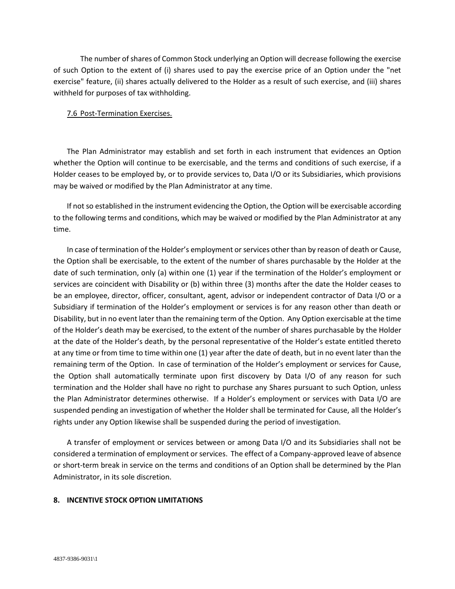The number of shares of Common Stock underlying an Option will decrease following the exercise of such Option to the extent of (i) shares used to pay the exercise price of an Option under the "net exercise" feature, (ii) shares actually delivered to the Holder as a result of such exercise, and (iii) shares withheld for purposes of tax withholding.

#### 7.6 Post-Termination Exercises.

The Plan Administrator may establish and set forth in each instrument that evidences an Option whether the Option will continue to be exercisable, and the terms and conditions of such exercise, if a Holder ceases to be employed by, or to provide services to, Data I/O or its Subsidiaries, which provisions may be waived or modified by the Plan Administrator at any time.

If not so established in the instrument evidencing the Option, the Option will be exercisable according to the following terms and conditions, which may be waived or modified by the Plan Administrator at any time.

In case of termination of the Holder's employment or services other than by reason of death or Cause, the Option shall be exercisable, to the extent of the number of shares purchasable by the Holder at the date of such termination, only (a) within one (1) year if the termination of the Holder's employment or services are coincident with Disability or (b) within three (3) months after the date the Holder ceases to be an employee, director, officer, consultant, agent, advisor or independent contractor of Data I/O or a Subsidiary if termination of the Holder's employment or services is for any reason other than death or Disability, but in no event later than the remaining term of the Option. Any Option exercisable at the time of the Holder's death may be exercised, to the extent of the number of shares purchasable by the Holder at the date of the Holder's death, by the personal representative of the Holder's estate entitled thereto at any time or from time to time within one (1) year after the date of death, but in no event later than the remaining term of the Option. In case of termination of the Holder's employment or services for Cause, the Option shall automatically terminate upon first discovery by Data I/O of any reason for such termination and the Holder shall have no right to purchase any Shares pursuant to such Option, unless the Plan Administrator determines otherwise. If a Holder's employment or services with Data I/O are suspended pending an investigation of whether the Holder shall be terminated for Cause, all the Holder's rights under any Option likewise shall be suspended during the period of investigation.

A transfer of employment or services between or among Data I/O and its Subsidiaries shall not be considered a termination of employment or services. The effect of a Company-approved leave of absence or short-term break in service on the terms and conditions of an Option shall be determined by the Plan Administrator, in its sole discretion.

## **8. INCENTIVE STOCK OPTION LIMITATIONS**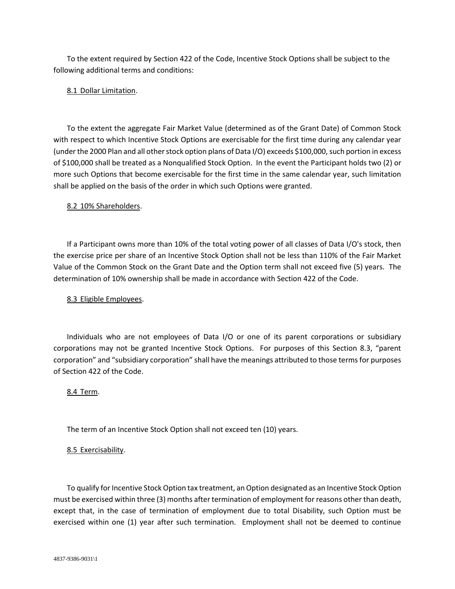To the extent required by Section 422 of the Code, Incentive Stock Options shall be subject to the following additional terms and conditions:

### 8.1 Dollar Limitation.

To the extent the aggregate Fair Market Value (determined as of the Grant Date) of Common Stock with respect to which Incentive Stock Options are exercisable for the first time during any calendar year (under the 2000 Plan and all other stock option plans of Data I/O) exceeds \$100,000, such portion in excess of \$100,000 shall be treated as a Nonqualified Stock Option. In the event the Participant holds two (2) or more such Options that become exercisable for the first time in the same calendar year, such limitation shall be applied on the basis of the order in which such Options were granted.

### 8.2 10% Shareholders.

If a Participant owns more than 10% of the total voting power of all classes of Data I/O's stock, then the exercise price per share of an Incentive Stock Option shall not be less than 110% of the Fair Market Value of the Common Stock on the Grant Date and the Option term shall not exceed five (5) years. The determination of 10% ownership shall be made in accordance with Section 422 of the Code.

### 8.3 Eligible Employees.

Individuals who are not employees of Data I/O or one of its parent corporations or subsidiary corporations may not be granted Incentive Stock Options. For purposes of this Section 8.3, "parent corporation" and "subsidiary corporation" shall have the meanings attributed to those terms for purposes of Section 422 of the Code.

#### 8.4 Term.

The term of an Incentive Stock Option shall not exceed ten (10) years.

## 8.5 Exercisability.

To qualify for Incentive Stock Option tax treatment, an Option designated as an Incentive Stock Option must be exercised within three (3) months after termination of employment for reasons other than death, except that, in the case of termination of employment due to total Disability, such Option must be exercised within one (1) year after such termination. Employment shall not be deemed to continue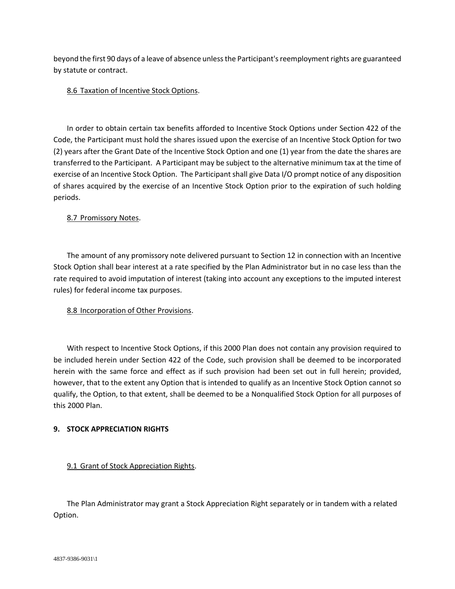beyond the first 90 days of a leave of absence unless the Participant's reemployment rights are guaranteed by statute or contract.

## 8.6 Taxation of Incentive Stock Options.

In order to obtain certain tax benefits afforded to Incentive Stock Options under Section 422 of the Code, the Participant must hold the shares issued upon the exercise of an Incentive Stock Option for two (2) years after the Grant Date of the Incentive Stock Option and one (1) year from the date the shares are transferred to the Participant. A Participant may be subject to the alternative minimum tax at the time of exercise of an Incentive Stock Option. The Participant shall give Data I/O prompt notice of any disposition of shares acquired by the exercise of an Incentive Stock Option prior to the expiration of such holding periods.

## 8.7 Promissory Notes.

The amount of any promissory note delivered pursuant to Section 12 in connection with an Incentive Stock Option shall bear interest at a rate specified by the Plan Administrator but in no case less than the rate required to avoid imputation of interest (taking into account any exceptions to the imputed interest rules) for federal income tax purposes.

## 8.8 Incorporation of Other Provisions.

With respect to Incentive Stock Options, if this 2000 Plan does not contain any provision required to be included herein under Section 422 of the Code, such provision shall be deemed to be incorporated herein with the same force and effect as if such provision had been set out in full herein; provided, however, that to the extent any Option that is intended to qualify as an Incentive Stock Option cannot so qualify, the Option, to that extent, shall be deemed to be a Nonqualified Stock Option for all purposes of this 2000 Plan.

## **9. STOCK APPRECIATION RIGHTS**

# 9.1 Grant of Stock Appreciation Rights.

The Plan Administrator may grant a Stock Appreciation Right separately or in tandem with a related Option.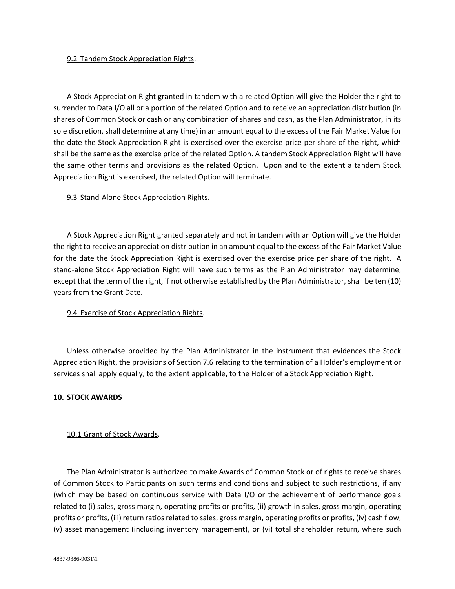#### 9.2 Tandem Stock Appreciation Rights.

A Stock Appreciation Right granted in tandem with a related Option will give the Holder the right to surrender to Data I/O all or a portion of the related Option and to receive an appreciation distribution (in shares of Common Stock or cash or any combination of shares and cash, as the Plan Administrator, in its sole discretion, shall determine at any time) in an amount equal to the excess of the Fair Market Value for the date the Stock Appreciation Right is exercised over the exercise price per share of the right, which shall be the same as the exercise price of the related Option. A tandem Stock Appreciation Right will have the same other terms and provisions as the related Option. Upon and to the extent a tandem Stock Appreciation Right is exercised, the related Option will terminate.

### 9.3 Stand-Alone Stock Appreciation Rights.

A Stock Appreciation Right granted separately and not in tandem with an Option will give the Holder the right to receive an appreciation distribution in an amount equal to the excess of the Fair Market Value for the date the Stock Appreciation Right is exercised over the exercise price per share of the right. A stand-alone Stock Appreciation Right will have such terms as the Plan Administrator may determine, except that the term of the right, if not otherwise established by the Plan Administrator, shall be ten (10) years from the Grant Date.

### 9.4 Exercise of Stock Appreciation Rights.

Unless otherwise provided by the Plan Administrator in the instrument that evidences the Stock Appreciation Right, the provisions of Section 7.6 relating to the termination of a Holder's employment or services shall apply equally, to the extent applicable, to the Holder of a Stock Appreciation Right.

#### **10. STOCK AWARDS**

## 10.1 Grant of Stock Awards.

The Plan Administrator is authorized to make Awards of Common Stock or of rights to receive shares of Common Stock to Participants on such terms and conditions and subject to such restrictions, if any (which may be based on continuous service with Data I/O or the achievement of performance goals related to (i) sales, gross margin, operating profits or profits, (ii) growth in sales, gross margin, operating profits or profits, (iii) return ratios related to sales, gross margin, operating profits or profits, (iv) cash flow, (v) asset management (including inventory management), or (vi) total shareholder return, where such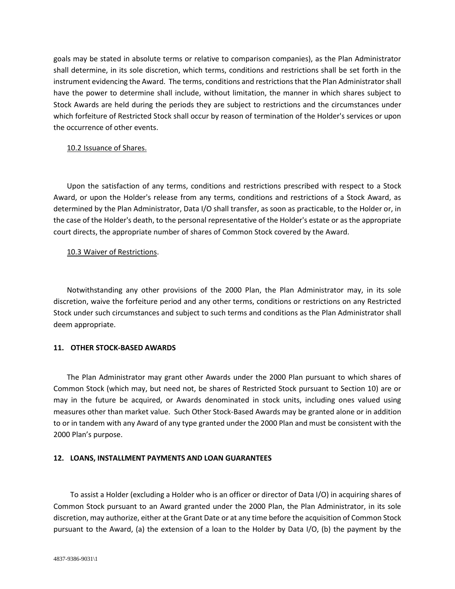goals may be stated in absolute terms or relative to comparison companies), as the Plan Administrator shall determine, in its sole discretion, which terms, conditions and restrictions shall be set forth in the instrument evidencing the Award. The terms, conditions and restrictions that the Plan Administrator shall have the power to determine shall include, without limitation, the manner in which shares subject to Stock Awards are held during the periods they are subject to restrictions and the circumstances under which forfeiture of Restricted Stock shall occur by reason of termination of the Holder's services or upon the occurrence of other events.

### 10.2 Issuance of Shares.

Upon the satisfaction of any terms, conditions and restrictions prescribed with respect to a Stock Award, or upon the Holder's release from any terms, conditions and restrictions of a Stock Award, as determined by the Plan Administrator, Data I/O shall transfer, as soon as practicable, to the Holder or, in the case of the Holder's death, to the personal representative of the Holder's estate or as the appropriate court directs, the appropriate number of shares of Common Stock covered by the Award.

## 10.3 Waiver of Restrictions.

Notwithstanding any other provisions of the 2000 Plan, the Plan Administrator may, in its sole discretion, waive the forfeiture period and any other terms, conditions or restrictions on any Restricted Stock under such circumstances and subject to such terms and conditions as the Plan Administrator shall deem appropriate.

## **11. OTHER STOCK-BASED AWARDS**

The Plan Administrator may grant other Awards under the 2000 Plan pursuant to which shares of Common Stock (which may, but need not, be shares of Restricted Stock pursuant to Section 10) are or may in the future be acquired, or Awards denominated in stock units, including ones valued using measures other than market value. Such Other Stock-Based Awards may be granted alone or in addition to or in tandem with any Award of any type granted under the 2000 Plan and must be consistent with the 2000 Plan's purpose.

## **12. LOANS, INSTALLMENT PAYMENTS AND LOAN GUARANTEES**

To assist a Holder (excluding a Holder who is an officer or director of Data I/O) in acquiring shares of Common Stock pursuant to an Award granted under the 2000 Plan, the Plan Administrator, in its sole discretion, may authorize, either at the Grant Date or at any time before the acquisition of Common Stock pursuant to the Award, (a) the extension of a loan to the Holder by Data I/O, (b) the payment by the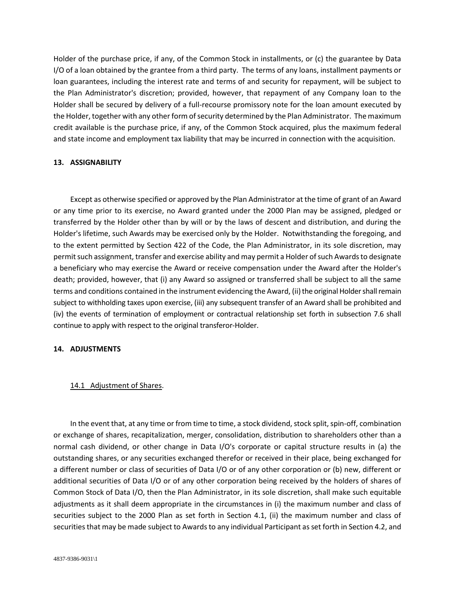Holder of the purchase price, if any, of the Common Stock in installments, or (c) the guarantee by Data I/O of a loan obtained by the grantee from a third party. The terms of any loans, installment payments or loan guarantees, including the interest rate and terms of and security for repayment, will be subject to the Plan Administrator's discretion; provided, however, that repayment of any Company loan to the Holder shall be secured by delivery of a full-recourse promissory note for the loan amount executed by the Holder, together with any other form of security determined by the Plan Administrator. The maximum credit available is the purchase price, if any, of the Common Stock acquired, plus the maximum federal and state income and employment tax liability that may be incurred in connection with the acquisition.

#### **13. ASSIGNABILITY**

Except as otherwise specified or approved by the Plan Administrator at the time of grant of an Award or any time prior to its exercise, no Award granted under the 2000 Plan may be assigned, pledged or transferred by the Holder other than by will or by the laws of descent and distribution, and during the Holder's lifetime, such Awards may be exercised only by the Holder. Notwithstanding the foregoing, and to the extent permitted by Section 422 of the Code, the Plan Administrator, in its sole discretion, may permit such assignment, transfer and exercise ability and may permit a Holder of such Awards to designate a beneficiary who may exercise the Award or receive compensation under the Award after the Holder's death; provided, however, that (i) any Award so assigned or transferred shall be subject to all the same terms and conditions contained in the instrument evidencing the Award, (ii) the original Holder shall remain subject to withholding taxes upon exercise, (iii) any subsequent transfer of an Award shall be prohibited and (iv) the events of termination of employment or contractual relationship set forth in subsection 7.6 shall continue to apply with respect to the original transferor-Holder.

#### **14. ADJUSTMENTS**

#### 14.1 Adjustment of Shares.

In the event that, at any time or from time to time, a stock dividend, stock split, spin-off, combination or exchange of shares, recapitalization, merger, consolidation, distribution to shareholders other than a normal cash dividend, or other change in Data I/O's corporate or capital structure results in (a) the outstanding shares, or any securities exchanged therefor or received in their place, being exchanged for a different number or class of securities of Data I/O or of any other corporation or (b) new, different or additional securities of Data I/O or of any other corporation being received by the holders of shares of Common Stock of Data I/O, then the Plan Administrator, in its sole discretion, shall make such equitable adjustments as it shall deem appropriate in the circumstances in (i) the maximum number and class of securities subject to the 2000 Plan as set forth in Section 4.1, (ii) the maximum number and class of securities that may be made subject to Awards to any individual Participant as set forth in Section 4.2, and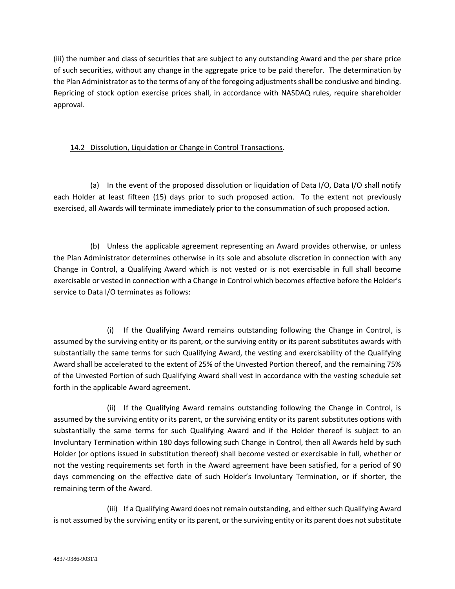(iii) the number and class of securities that are subject to any outstanding Award and the per share price of such securities, without any change in the aggregate price to be paid therefor. The determination by the Plan Administrator as to the terms of any of the foregoing adjustments shall be conclusive and binding. Repricing of stock option exercise prices shall, in accordance with NASDAQ rules, require shareholder approval.

# 14.2 Dissolution, Liquidation or Change in Control Transactions.

(a) In the event of the proposed dissolution or liquidation of Data I/O, Data I/O shall notify each Holder at least fifteen (15) days prior to such proposed action. To the extent not previously exercised, all Awards will terminate immediately prior to the consummation of such proposed action.

(b) Unless the applicable agreement representing an Award provides otherwise, or unless the Plan Administrator determines otherwise in its sole and absolute discretion in connection with any Change in Control, a Qualifying Award which is not vested or is not exercisable in full shall become exercisable or vested in connection with a Change in Control which becomes effective before the Holder's service to Data I/O terminates as follows:

(i) If the Qualifying Award remains outstanding following the Change in Control, is assumed by the surviving entity or its parent, or the surviving entity or its parent substitutes awards with substantially the same terms for such Qualifying Award, the vesting and exercisability of the Qualifying Award shall be accelerated to the extent of 25% of the Unvested Portion thereof, and the remaining 75% of the Unvested Portion of such Qualifying Award shall vest in accordance with the vesting schedule set forth in the applicable Award agreement.

(ii) If the Qualifying Award remains outstanding following the Change in Control, is assumed by the surviving entity or its parent, or the surviving entity or its parent substitutes options with substantially the same terms for such Qualifying Award and if the Holder thereof is subject to an Involuntary Termination within 180 days following such Change in Control, then all Awards held by such Holder (or options issued in substitution thereof) shall become vested or exercisable in full, whether or not the vesting requirements set forth in the Award agreement have been satisfied, for a period of 90 days commencing on the effective date of such Holder's Involuntary Termination, or if shorter, the remaining term of the Award.

(iii) If a Qualifying Award does not remain outstanding, and either such Qualifying Award is not assumed by the surviving entity or its parent, or the surviving entity or its parent does not substitute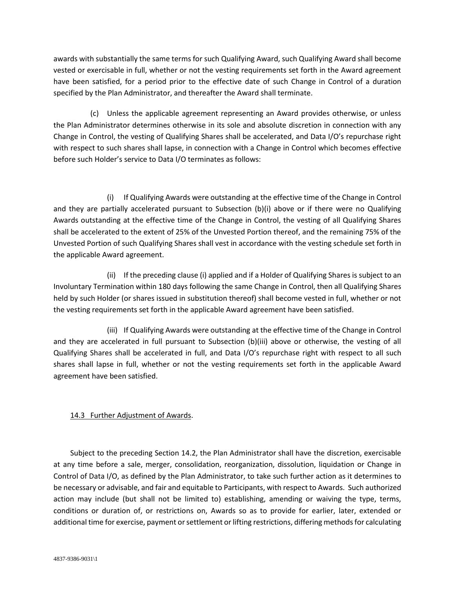awards with substantially the same terms for such Qualifying Award, such Qualifying Award shall become vested or exercisable in full, whether or not the vesting requirements set forth in the Award agreement have been satisfied, for a period prior to the effective date of such Change in Control of a duration specified by the Plan Administrator, and thereafter the Award shall terminate.

(c) Unless the applicable agreement representing an Award provides otherwise, or unless the Plan Administrator determines otherwise in its sole and absolute discretion in connection with any Change in Control, the vesting of Qualifying Shares shall be accelerated, and Data I/O's repurchase right with respect to such shares shall lapse, in connection with a Change in Control which becomes effective before such Holder's service to Data I/O terminates as follows:

(i) If Qualifying Awards were outstanding at the effective time of the Change in Control and they are partially accelerated pursuant to Subsection (b)(i) above or if there were no Qualifying Awards outstanding at the effective time of the Change in Control, the vesting of all Qualifying Shares shall be accelerated to the extent of 25% of the Unvested Portion thereof, and the remaining 75% of the Unvested Portion of such Qualifying Shares shall vest in accordance with the vesting schedule set forth in the applicable Award agreement.

(ii) If the preceding clause (i) applied and if a Holder of Qualifying Shares is subject to an Involuntary Termination within 180 days following the same Change in Control, then all Qualifying Shares held by such Holder (or shares issued in substitution thereof) shall become vested in full, whether or not the vesting requirements set forth in the applicable Award agreement have been satisfied.

(iii) If Qualifying Awards were outstanding at the effective time of the Change in Control and they are accelerated in full pursuant to Subsection (b)(iii) above or otherwise, the vesting of all Qualifying Shares shall be accelerated in full, and Data I/O's repurchase right with respect to all such shares shall lapse in full, whether or not the vesting requirements set forth in the applicable Award agreement have been satisfied.

# 14.3 Further Adjustment of Awards.

Subject to the preceding Section 14.2, the Plan Administrator shall have the discretion, exercisable at any time before a sale, merger, consolidation, reorganization, dissolution, liquidation or Change in Control of Data I/O, as defined by the Plan Administrator, to take such further action as it determines to be necessary or advisable, and fair and equitable to Participants, with respect to Awards. Such authorized action may include (but shall not be limited to) establishing, amending or waiving the type, terms, conditions or duration of, or restrictions on, Awards so as to provide for earlier, later, extended or additional time for exercise, payment or settlement or lifting restrictions, differing methods for calculating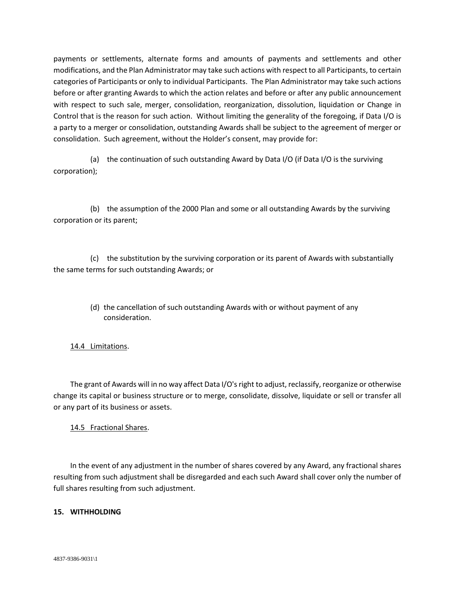payments or settlements, alternate forms and amounts of payments and settlements and other modifications, and the Plan Administrator may take such actions with respect to all Participants, to certain categories of Participants or only to individual Participants. The Plan Administrator may take such actions before or after granting Awards to which the action relates and before or after any public announcement with respect to such sale, merger, consolidation, reorganization, dissolution, liquidation or Change in Control that is the reason for such action. Without limiting the generality of the foregoing, if Data I/O is a party to a merger or consolidation, outstanding Awards shall be subject to the agreement of merger or consolidation. Such agreement, without the Holder's consent, may provide for:

(a) the continuation of such outstanding Award by Data I/O (if Data I/O is the surviving corporation);

(b) the assumption of the 2000 Plan and some or all outstanding Awards by the surviving corporation or its parent;

(c) the substitution by the surviving corporation or its parent of Awards with substantially the same terms for such outstanding Awards; or

> (d) the cancellation of such outstanding Awards with or without payment of any consideration.

# 14.4 Limitations.

The grant of Awards will in no way affect Data I/O's right to adjust, reclassify, reorganize or otherwise change its capital or business structure or to merge, consolidate, dissolve, liquidate or sell or transfer all or any part of its business or assets.

## 14.5 Fractional Shares.

In the event of any adjustment in the number of shares covered by any Award, any fractional shares resulting from such adjustment shall be disregarded and each such Award shall cover only the number of full shares resulting from such adjustment.

## **15. WITHHOLDING**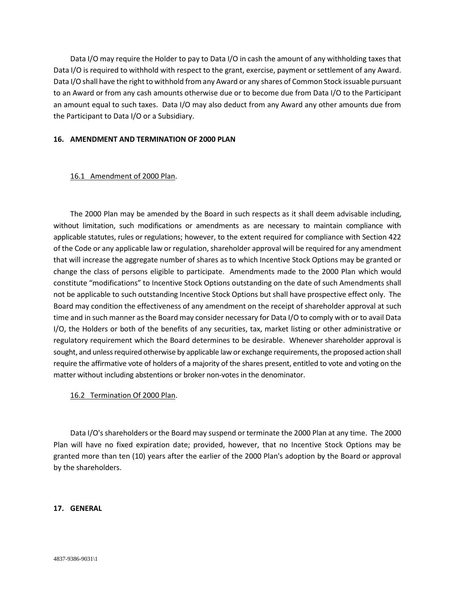Data I/O may require the Holder to pay to Data I/O in cash the amount of any withholding taxes that Data I/O is required to withhold with respect to the grant, exercise, payment or settlement of any Award. Data I/O shall have the right to withhold from any Award or any shares of Common Stock issuable pursuant to an Award or from any cash amounts otherwise due or to become due from Data I/O to the Participant an amount equal to such taxes. Data I/O may also deduct from any Award any other amounts due from the Participant to Data I/O or a Subsidiary.

### **16. AMENDMENT AND TERMINATION OF 2000 PLAN**

### 16.1 Amendment of 2000 Plan.

The 2000 Plan may be amended by the Board in such respects as it shall deem advisable including, without limitation, such modifications or amendments as are necessary to maintain compliance with applicable statutes, rules or regulations; however, to the extent required for compliance with Section 422 of the Code or any applicable law or regulation, shareholder approval will be required for any amendment that will increase the aggregate number of shares as to which Incentive Stock Options may be granted or change the class of persons eligible to participate. Amendments made to the 2000 Plan which would constitute "modifications" to Incentive Stock Options outstanding on the date of such Amendments shall not be applicable to such outstanding Incentive Stock Options but shall have prospective effect only. The Board may condition the effectiveness of any amendment on the receipt of shareholder approval at such time and in such manner as the Board may consider necessary for Data I/O to comply with or to avail Data I/O, the Holders or both of the benefits of any securities, tax, market listing or other administrative or regulatory requirement which the Board determines to be desirable. Whenever shareholder approval is sought, and unless required otherwise by applicable law or exchange requirements, the proposed action shall require the affirmative vote of holders of a majority of the shares present, entitled to vote and voting on the matter without including abstentions or broker non-votes in the denominator.

## 16.2 Termination Of 2000 Plan.

Data I/O's shareholders or the Board may suspend or terminate the 2000 Plan at any time. The 2000 Plan will have no fixed expiration date; provided, however, that no Incentive Stock Options may be granted more than ten (10) years after the earlier of the 2000 Plan's adoption by the Board or approval by the shareholders.

#### **17. GENERAL**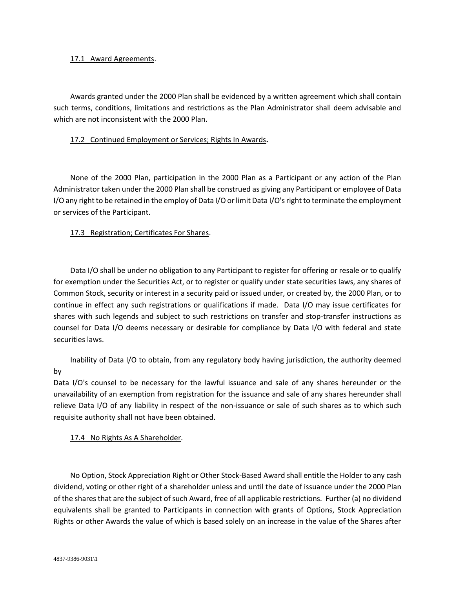### 17.1 Award Agreements.

Awards granted under the 2000 Plan shall be evidenced by a written agreement which shall contain such terms, conditions, limitations and restrictions as the Plan Administrator shall deem advisable and which are not inconsistent with the 2000 Plan.

### 17.2 Continued Employment or Services; Rights In Awards**.**

None of the 2000 Plan, participation in the 2000 Plan as a Participant or any action of the Plan Administrator taken under the 2000 Plan shall be construed as giving any Participant or employee of Data I/O any right to be retained in the employ of Data I/O or limit Data I/O's right to terminate the employment or services of the Participant.

## 17.3 Registration; Certificates For Shares.

Data I/O shall be under no obligation to any Participant to register for offering or resale or to qualify for exemption under the Securities Act, or to register or qualify under state securities laws, any shares of Common Stock, security or interest in a security paid or issued under, or created by, the 2000 Plan, or to continue in effect any such registrations or qualifications if made. Data I/O may issue certificates for shares with such legends and subject to such restrictions on transfer and stop-transfer instructions as counsel for Data I/O deems necessary or desirable for compliance by Data I/O with federal and state securities laws.

Inability of Data I/O to obtain, from any regulatory body having jurisdiction, the authority deemed by

Data I/O's counsel to be necessary for the lawful issuance and sale of any shares hereunder or the unavailability of an exemption from registration for the issuance and sale of any shares hereunder shall relieve Data I/O of any liability in respect of the non-issuance or sale of such shares as to which such requisite authority shall not have been obtained.

17.4 No Rights As A Shareholder.

No Option, Stock Appreciation Right or Other Stock-Based Award shall entitle the Holder to any cash dividend, voting or other right of a shareholder unless and until the date of issuance under the 2000 Plan of the shares that are the subject of such Award, free of all applicable restrictions. Further (a) no dividend equivalents shall be granted to Participants in connection with grants of Options, Stock Appreciation Rights or other Awards the value of which is based solely on an increase in the value of the Shares after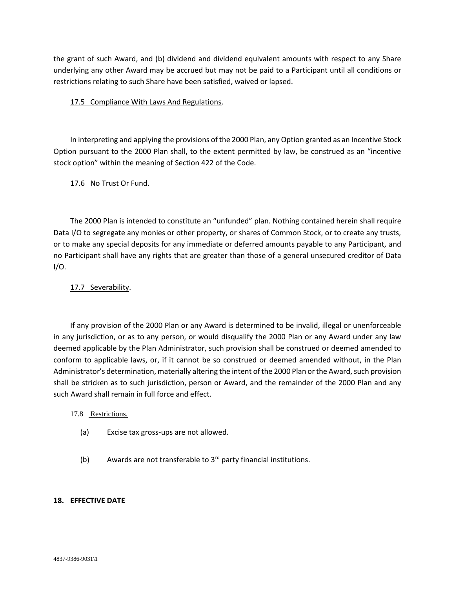the grant of such Award, and (b) dividend and dividend equivalent amounts with respect to any Share underlying any other Award may be accrued but may not be paid to a Participant until all conditions or restrictions relating to such Share have been satisfied, waived or lapsed.

## 17.5 Compliance With Laws And Regulations.

In interpreting and applying the provisions of the 2000 Plan, any Option granted as an Incentive Stock Option pursuant to the 2000 Plan shall, to the extent permitted by law, be construed as an "incentive stock option" within the meaning of Section 422 of the Code.

## 17.6 No Trust Or Fund.

The 2000 Plan is intended to constitute an "unfunded" plan. Nothing contained herein shall require Data I/O to segregate any monies or other property, or shares of Common Stock, or to create any trusts, or to make any special deposits for any immediate or deferred amounts payable to any Participant, and no Participant shall have any rights that are greater than those of a general unsecured creditor of Data I/O.

## 17.7 Severability.

If any provision of the 2000 Plan or any Award is determined to be invalid, illegal or unenforceable in any jurisdiction, or as to any person, or would disqualify the 2000 Plan or any Award under any law deemed applicable by the Plan Administrator, such provision shall be construed or deemed amended to conform to applicable laws, or, if it cannot be so construed or deemed amended without, in the Plan Administrator's determination, materially altering the intent of the 2000 Plan or the Award, such provision shall be stricken as to such jurisdiction, person or Award, and the remainder of the 2000 Plan and any such Award shall remain in full force and effect.

#### 17.8 Restrictions.

- (a) Excise tax gross-ups are not allowed.
- (b) Awards are not transferable to  $3<sup>rd</sup>$  party financial institutions.

#### **18. EFFECTIVE DATE**